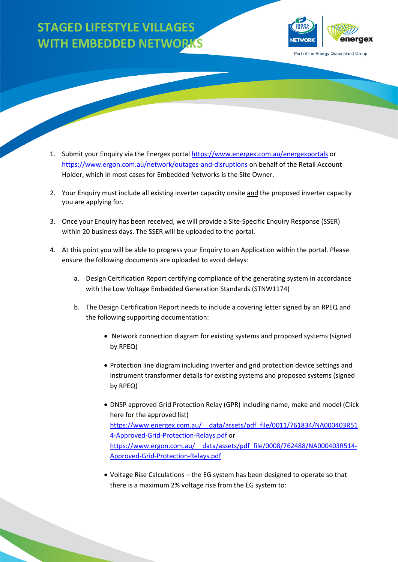## **STAGED LIFESTYLE VILLAGES WITH EMBEDDED NETWORKS**



Part of the Energy Queensland Group

- Holder, which in most cases for Embedded Networks is the Site Owner. 1. Submit your Enquiry via the Energex porta[l https://www.energex.com.au/energexportals](https://www.energex.com.au/energexportals) or <https://www.ergon.com.au/network/outages-and-disruptions>on behalf of the Retail Account
- 2. Your Enquiry must include all existing inverter capacity onsite and the proposed inverter capacity you are applying for.
- 3. Once your Enquiry has been received, we will provide a Site-Specific Enquiry Response (SSER) within 20 business days. The SSER will be uploaded to the portal.
- 4. At this point you will be able to progress your Enquiry to an Application within the portal. Please ensure the following documents are uploaded to avoid delays:
	- a. Design Certification Report certifying compliance of the generating system in accordance with the Low Voltage Embedded Generation Standards (STNW1174)
	- b. The Design Certification Report needs to include a covering letter signed by an RPEQ and the following supporting documentation:
		- Network connection diagram for existing systems and proposed systems (signed by RPEQ)
		- Protection line diagram including inverter and grid protection device settings and instrument transformer details for existing systems and proposed systems (signed by RPEQ)
		- • DNSP approved Grid Protection Relay (GPR) including name, make and model (Click here for the approved list) [https://www.energex.com.au/\\_\\_data/assets/pdf\\_file/0011/761834/NA000403R51](https://www.energex.com.au/__data/assets/pdf_file/0011/761834/NA000403R514-Approved-Grid-Protection-Relays.pdf)  [4-Approved-Grid-Protection-Relays.pdf](https://www.energex.com.au/__data/assets/pdf_file/0011/761834/NA000403R514-Approved-Grid-Protection-Relays.pdf) or [https://www.ergon.com.au/\\_\\_data/assets/pdf\\_file/0008/762488/NA000403R514-](https://www.ergon.com.au/__data/assets/pdf_file/0008/762488/NA000403R514-Approved-Grid-Protection-Relays.pdf) [Approved-Grid-Protection-Relays.pdf](https://www.ergon.com.au/__data/assets/pdf_file/0008/762488/NA000403R514-Approved-Grid-Protection-Relays.pdf)
		- Voltage Rise Calculations the EG system has been designed to operate so that there is a maximum 2% voltage rise from the EG system to: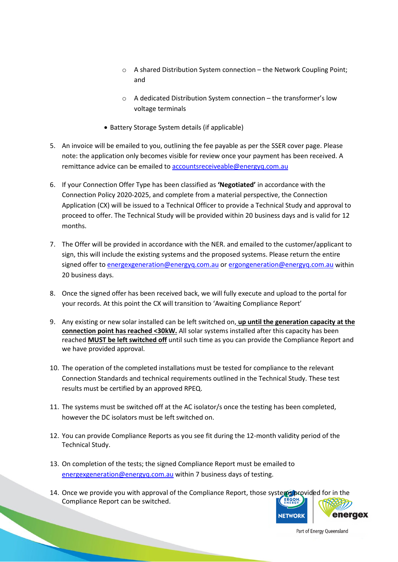- o A shared Distribution System connection the Network Coupling Point; and
- o A dedicated Distribution System connection the transformer's low voltage terminals
- Battery Storage System details (if applicable)
- note: the application only becomes visible for review once your payment has been received. A remittance advice can be emailed to accountsreceiveable@energyq.com.au 5. An invoice will be emailed to you, outlining the fee payable as per the SSER cover page. Please
- 6. If your Connection Offer Type has been classified as **'Negotiated'** in accordance with the months. Connection Policy 2020-2025, and complete from a material perspective, the Connection Application (CX) will be issued to a Technical Officer to provide a Technical Study and approval to proceed to offer. The Technical Study will be provided within 20 business days and is valid for 12
- months.<br>7. The Offer will be provided in accordance with the NER. and emailed to the customer/applicant to signed offer to **energexgeneration@energyq.com.au** or [ergongeneration@energyq.com.au](mailto:ergongeneration@energyq.com.au) within sign, this will include the existing systems and the proposed systems. Please return the entire 20 business days.
- 8. Once the signed offer has been received back, we will fully execute and upload to the portal for your records. At this point the CX will transition to 'Awaiting Compliance Report'
- 9. Any existing or new solar installed can be left switched on, **up until the generation capacity at the connection point has reached <30kW.** All solar systems installed after this capacity has been reached **MUST be left switched off** until such time as you can provide the Compliance Report and we have provided approval.
- Connection Standards and technical requirements outlined in the Technical Study. These test 10. The operation of the completed installations must be tested for compliance to the relevant results must be certified by an approved RPEQ.
- 11. The systems must be switched off at the AC isolator/s once the testing has been completed, however the DC isolators must be left switched on.
- 12. You can provide Compliance Reports as you see fit during the 12-month validity period of the Technical Study.
- 13. On completion of the tests; the signed Compliance Report must be emailed to [energexgeneration@energyq.com.au](mailto:energexgeneration@energyq.com.au) within 7 business days of testing.
- 14. Once we provide you with approval of the Compliance Report, those systems provided for in the ERGON. Compliance Report can be switched.



Part of Energy Queensland